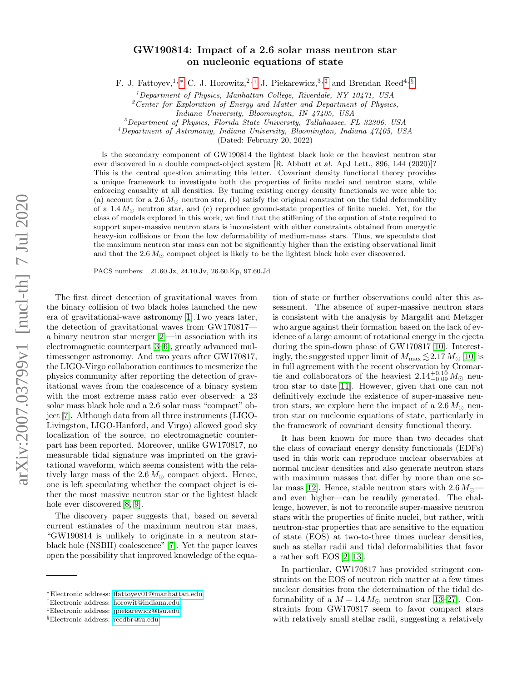## GW190814: Impact of a 2.6 solar mass neutron star on nucleonic equations of state

F. J. Fattoyev,<sup>1,\*</sup> C. J. Horowitz,<sup>2,[†](#page-0-1)</sup> J. Piekarewicz,<sup>3,[‡](#page-0-2)</sup> and Brendan Reed<sup>4, [§](#page-0-3)</sup>

 $1$ Department of Physics, Manhattan College, Riverdale, NY 10471, USA

 $2$ Center for Exploration of Energy and Matter and Department of Physics,

Indiana University, Bloomington, IN 47405, USA

<sup>3</sup>Department of Physics, Florida State University, Tallahassee, FL 32306, USA

<sup>4</sup>Department of Astronomy, Indiana University, Bloomington, Indiana 47405, USA

(Dated: February 20, 2022)

Is the secondary component of GW190814 the lightest black hole or the heaviest neutron star ever discovered in a double compact-object system [R. Abbott et al. ApJ Lett., 896, L44 (2020)]? This is the central question animating this letter. Covariant density functional theory provides a unique framework to investigate both the properties of finite nuclei and neutron stars, while enforcing causality at all densities. By tuning existing energy density functionals we were able to: (a) account for a  $2.6 M_{\odot}$  neutron star, (b) satisfy the original constraint on the tidal deformability of a  $1.4 M_{\odot}$  neutron star, and (c) reproduce ground-state properties of finite nuclei. Yet, for the class of models explored in this work, we find that the stiffening of the equation of state required to support super-massive neutron stars is inconsistent with either constraints obtained from energetic heavy-ion collisions or from the low deformability of medium-mass stars. Thus, we speculate that the maximum neutron star mass can not be significantly higher than the existing observational limit and that the  $2.6 M_{\odot}$  compact object is likely to be the lightest black hole ever discovered.

PACS numbers: 21.60.Jz, 24.10.Jv, 26.60.Kp, 97.60.Jd

The first direct detection of gravitational waves from the binary collision of two black holes launched the new era of gravitational-wave astronomy [\[1\]](#page-4-0).Two years later, the detection of gravitational waves from GW170817 a binary neutron star merger [\[2\]](#page-4-1)—in association with its electromagnetic counterpart [\[3–](#page-4-2)[6\]](#page-4-3), greatly advanced multimessenger astronomy. And two years after GW170817, the LIGO-Virgo collaboration continues to mesmerize the physics community after reporting the detection of gravitational waves from the coalescence of a binary system with the most extreme mass ratio ever observed: a 23 solar mass black hole and a 2.6 solar mass "compact" object [\[7\]](#page-4-4). Although data from all three instruments (LIGO-Livingston, LIGO-Hanford, and Virgo) allowed good sky localization of the source, no electromagnetic counterpart has been reported. Moreover, unlike GW170817, no measurable tidal signature was imprinted on the gravitational waveform, which seems consistent with the relatively large mass of the  $2.6 M_{\odot}$  compact object. Hence, one is left speculating whether the compact object is either the most massive neutron star or the lightest black hole ever discovered [\[8,](#page-4-5) [9\]](#page-4-6).

The discovery paper suggests that, based on several current estimates of the maximum neutron star mass, "GW190814 is unlikely to originate in a neutron starblack hole (NSBH) coalescence" [\[7\]](#page-4-4). Yet the paper leaves open the possibility that improved knowledge of the equa-

tion of state or further observations could alter this assessment. The absence of super-massive neutron stars is consistent with the analysis by Margalit and Metzger who argue against their formation based on the lack of evidence of a large amount of rotational energy in the ejecta during the spin-down phase of GW170817 [\[10\]](#page-4-7). Interestingly, the suggested upper limit of  $M_{\text{max}} \lesssim 2.17 M_{\odot}$  [\[10\]](#page-4-7) is in full agreement with the recent observation by Cromartie and collaborators of the heaviest  $2.14_{-0.09}^{+0.10} M_{\odot}$  neutron star to date [\[11\]](#page-4-8). However, given that one can not definitively exclude the existence of super-massive neutron stars, we explore here the impact of a 2.6  $M_{\odot}$  neutron star on nucleonic equations of state, particularly in the framework of covariant density functional theory.

It has been known for more than two decades that the class of covariant energy density functionals (EDFs) used in this work can reproduce nuclear observables at normal nuclear densities and also generate neutron stars with maximum masses that differ by more than one so-lar mass [\[12\]](#page-4-9). Hence, stable neutron stars with  $2.6 M_{\odot}$  and even higher—can be readily generated. The challenge, however, is not to reconcile super-massive neutron stars with the properties of finite nuclei, but rather, with neutron-star properties that are sensitive to the equation of state (EOS) at two-to-three times nuclear densities, such as stellar radii and tidal deformabilities that favor a rather soft EOS [\[2,](#page-4-1) [13\]](#page-4-10).

In particular, GW170817 has provided stringent constraints on the EOS of neutron rich matter at a few times nuclear densities from the determination of the tidal deformability of a  $M = 1.4 M_{\odot}$  neutron star [\[13–](#page-4-10)[27\]](#page-4-11). Constraints from GW170817 seem to favor compact stars with relatively small stellar radii, suggesting a relatively

<span id="page-0-0"></span><sup>∗</sup>Electronic address: [ffattoyev01@manhattan.edu](mailto:ffattoyev01@manhattan.edu)

<span id="page-0-1"></span><sup>†</sup>Electronic address: [horowit@indiana.edu](mailto:horowit@indiana.edu)

<span id="page-0-2"></span><sup>‡</sup>Electronic address: [jpiekarewicz@fsu.edu](mailto:jpiekarewicz@fsu.edu)

<span id="page-0-3"></span><sup>§</sup>Electronic address: [reedbr@iu.edu](mailto:reedbr@iu.edu)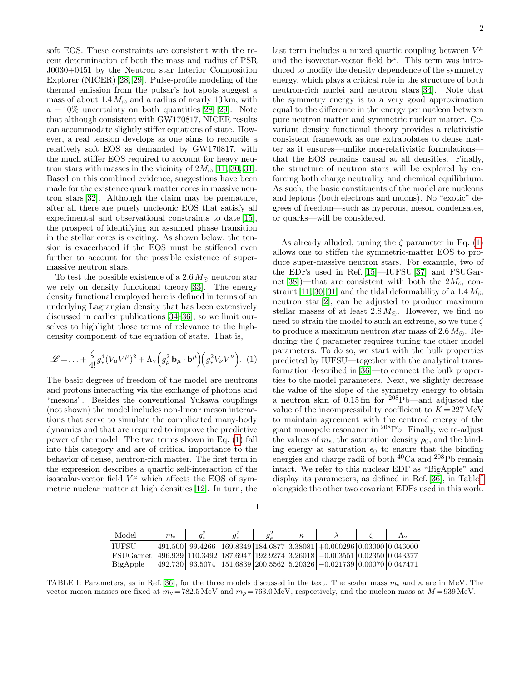soft EOS. These constraints are consistent with the recent determination of both the mass and radius of PSR J0030+0451 by the Neutron star Interior Composition Explorer (NICER) [\[28,](#page-4-12) [29\]](#page-4-13). Pulse-profile modeling of the thermal emission from the pulsar's hot spots suggest a mass of about  $1.4 M_{\odot}$  and a radius of nearly 13 km, with  $a \pm 10\%$  uncertainty on both quantities [\[28,](#page-4-12) [29\]](#page-4-13). Note that although consistent with GW170817, NICER results can accommodate slightly stiffer equations of state. However, a real tension develops as one aims to reconcile a relatively soft EOS as demanded by GW170817, with the much stiffer EOS required to account for heavy neutron stars with masses in the vicinity of  $2M_{\odot}$  [\[11,](#page-4-8) [30,](#page-4-14) [31\]](#page-4-15). Based on this combined evidence, suggestions have been made for the existence quark matter cores in massive neutron stars [\[32\]](#page-4-16). Although the claim may be premature, after all there are purely nucleonic EOS that satisfy all experimental and observational constraints to date [\[15\]](#page-4-17), the prospect of identifying an assumed phase transition in the stellar cores is exciting. As shown below, the tension is exacerbated if the EOS must be stiffened even further to account for the possible existence of supermassive neutron stars.

To test the possible existence of a 2.6  $M_{\odot}$  neutron star we rely on density functional theory [\[33\]](#page-5-0). The energy density functional employed here is defined in terms of an underlying Lagrangian density that has been extensively discussed in earlier publications [\[34–](#page-5-1)[36\]](#page-5-2), so we limit ourselves to highlight those terms of relevance to the highdensity component of the equation of state. That is,

<span id="page-1-0"></span>
$$
\mathcal{L} = \ldots + \frac{\zeta}{4!} g_v^4 (V_\mu V^\mu)^2 + \Lambda_v \left( g_\rho^2 \mathbf{b}_\mu \cdot \mathbf{b}^\mu \right) \left( g_v^2 V_\nu V^\nu \right). (1)
$$

The basic degrees of freedom of the model are neutrons and protons interacting via the exchange of photons and "mesons". Besides the conventional Yukawa couplings (not shown) the model includes non-linear meson interactions that serve to simulate the complicated many-body dynamics and that are required to improve the predictive power of the model. The two terms shown in Eq. [\(1\)](#page-1-0) fall into this category and are of critical importance to the behavior of dense, neutron-rich matter. The first term in the expression describes a quartic self-interaction of the isoscalar-vector field  $V^{\mu}$  which affects the EOS of symmetric nuclear matter at high densities [\[12\]](#page-4-9). In turn, the

last term includes a mixed quartic coupling between  $V^{\mu}$ and the isovector-vector field  $\mathbf{b}^{\mu}$ . This term was introduced to modify the density dependence of the symmetry energy, which plays a critical role in the structure of both neutron-rich nuclei and neutron stars [\[34\]](#page-5-1). Note that the symmetry energy is to a very good approximation equal to the difference in the energy per nucleon between pure neutron matter and symmetric nuclear matter. Covariant density functional theory provides a relativistic consistent framework as one extrapolates to dense matter as it ensures—unlike non-relativistic formulations that the EOS remains causal at all densities. Finally, the structure of neutron stars will be explored by enforcing both charge neutrality and chemical equilibrium. As such, the basic constituents of the model are nucleons and leptons (both electrons and muons). No "exotic" degrees of freedom—such as hyperons, meson condensates, or quarks—will be considered.

As already alluded, tuning the  $\zeta$  parameter in Eq. [\(1\)](#page-1-0) allows one to stiffen the symmetric-matter EOS to produce super-massive neutron stars. For example, two of the EDFs used in Ref. [\[15\]](#page-4-17)—IUFSU [\[37\]](#page-5-3) and FSUGar-net [\[38\]](#page-5-4))—that are consistent with both the  $2M_{\odot}$  con-straint [\[11,](#page-4-8) [30,](#page-4-14) [31\]](#page-4-15) and the tidal deformability of a 1.4  $M_{\odot}$ neutron star [\[2\]](#page-4-1), can be adjusted to produce maximum stellar masses of at least  $2.8 M_{\odot}$ . However, we find no need to strain the model to such an extreme, so we tune  $\zeta$ to produce a maximum neutron star mass of 2.6  $M_{\odot}$ . Reducing the  $\zeta$  parameter requires tuning the other model parameters. To do so, we start with the bulk properties predicted by IUFSU—together with the analytical transformation described in [\[36\]](#page-5-2)—to connect the bulk properties to the model parameters. Next, we slightly decrease the value of the slope of the symmetry energy to obtain a neutron skin of 0.15 fm for <sup>208</sup>Pb—and adjusted the value of the incompressibility coefficient to  $K = 227$  MeV to maintain agreement with the centroid energy of the giant monopole resonance in <sup>208</sup>Pb. Finally, we re-adjust the values of  $m_s$ , the saturation density  $\rho_0$ , and the binding energy at saturation  $\epsilon_0$  to ensure that the binding energies and charge radii of both <sup>40</sup>Ca and <sup>208</sup>Pb remain intact. We refer to this nuclear EDF as "BigApple" and display its parameters, as defined in Ref. [\[36\]](#page-5-2), in Table [I](#page-1-1) alongside the other two covariant EDFs used in this work.

| Model                                                                                               | $m_{\rm s}$ | Ys. | Уv | к |                                                                                                                           | $\Lambda_{\rm V}$ |
|-----------------------------------------------------------------------------------------------------|-------------|-----|----|---|---------------------------------------------------------------------------------------------------------------------------|-------------------|
| <b>TUFSU</b>                                                                                        |             |     |    |   | $  491.500  99.4266  169.8349  184.6877 3.38081  +0.000296 0.03000 0.046000$                                              |                   |
| $ FSUGarnet $ 496.939   110.3492   187.6947   192.9274   3.26018   $-0.003551$   0.02350   0.043377 |             |     |    |   |                                                                                                                           |                   |
| BigApple                                                                                            |             |     |    |   | $\left 492.730\right $ 93.5074 $\left 151.6839\right 200.5562\left 5.20326\right  - 0.021739\left 0.00070\right 0.047471$ |                   |

<span id="page-1-1"></span>TABLE I: Parameters, as in Ref. [\[36\]](#page-5-2), for the three models discussed in the text. The scalar mass  $m_s$  and  $\kappa$  are in MeV. The vector-meson masses are fixed at  $m_v = 782.5 \text{ MeV}$  and  $m_\rho = 763.0 \text{ MeV}$ , respectively, and the nucleon mass at  $M = 939 \text{ MeV}$ .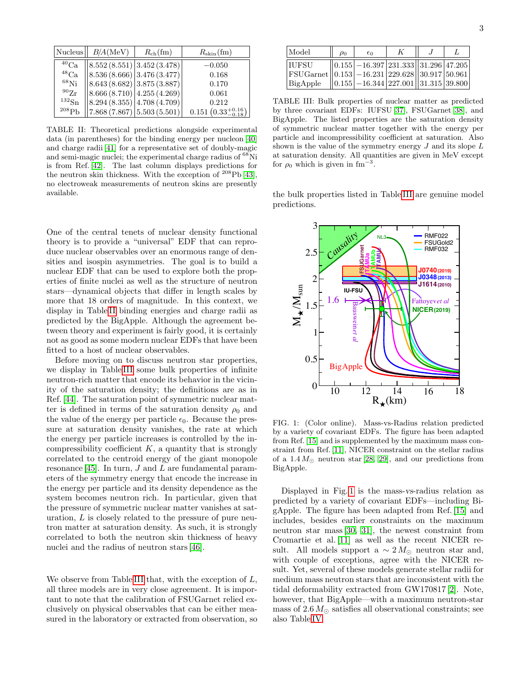| Nucleus           | $B/A$ (MeV)                                                                    | $R_{\rm ch}(\rm fm)$ | $R_{\rm skin}(\rm fm)$         |
|-------------------|--------------------------------------------------------------------------------|----------------------|--------------------------------|
| ${}^{40}{\rm Ca}$ | $\left  8.552\left( 8.551\right) \right  3.452\left( 3.478\right) \right $     |                      | $-0.050$                       |
| ${}^{48}Ca$       | $\left  8.536 \left( 8.666 \right) \right  3.476 \left( 3.477 \right) \right $ |                      | 0.168                          |
| $^{68}$ Ni        | $\left  8.643 \left( 8.682 \right) \right  3.875 \left( 3.887 \right) \right $ |                      | 0.170                          |
| $^{90}Zr$         | $\left  8.666 (8.710) \right  4.255 (4.269)$                                   |                      | 0.061                          |
| $^{132}Sn$        | $\left  8.294 \left( 8.355 \right) \right  4.708 \left( 4.709 \right) \right $ |                      | 0.212                          |
| 208P <sub>b</sub> | $\left 7.868\left(7.867\right)\right 5.503\left(5.501\right)$                  |                      | $0.151~(0.33_{-0.18}^{+0.16})$ |

<span id="page-2-0"></span>TABLE II: Theoretical predictions alongside experimental data (in parentheses) for the binding energy per nucleon [\[40\]](#page-5-5) and charge radii [\[41\]](#page-5-6) for a representative set of doubly-magic and semi-magic nuclei; the experimental charge radius of <sup>68</sup>Ni is from Ref. [\[42\]](#page-5-7). The last column displays predictions for the neutron skin thickness. With the exception of  $^{208}Pb$  [\[43\]](#page-5-8), no electroweak measurements of neutron skins are presently available.

One of the central tenets of nuclear density functional theory is to provide a "universal" EDF that can reproduce nuclear observables over an enormous range of densities and isospin asymmetries. The goal is to build a nuclear EDF that can be used to explore both the properties of finite nuclei as well as the structure of neutron stars—dynamical objects that differ in length scales by more that 18 orders of magnitude. In this context, we display in Table [II](#page-2-0) binding energies and charge radii as predicted by the BigApple. Although the agreement between theory and experiment is fairly good, it is certainly not as good as some modern nuclear EDFs that have been fitted to a host of nuclear observables.

Before moving on to discuss neutron star properties, we display in Table [III](#page-2-1) some bulk properties of infinite neutron-rich matter that encode its behavior in the vicinity of the saturation density; the definitions are as in Ref. [\[44\]](#page-5-9). The saturation point of symmetric nuclear matter is defined in terms of the saturation density  $\rho_0$  and the value of the energy per particle  $\epsilon_0$ . Because the pressure at saturation density vanishes, the rate at which the energy per particle increases is controlled by the incompressibility coefficient  $K$ , a quantity that is strongly correlated to the centroid energy of the giant monopole resonance [\[45\]](#page-5-10). In turn,  $J$  and  $L$  are fundamental parameters of the symmetry energy that encode the increase in the energy per particle and its density dependence as the system becomes neutron rich. In particular, given that the pressure of symmetric nuclear matter vanishes at saturation, L is closely related to the pressure of pure neutron matter at saturation density. As such, it is strongly correlated to both the neutron skin thickness of heavy nuclei and the radius of neutron stars [\[46\]](#page-5-11).

We observe from Table [III](#page-2-1) that, with the exception of  $L$ , all three models are in very close agreement. It is important to note that the calibration of FSUGarnet relied exclusively on physical observables that can be either measured in the laboratory or extracted from observation, so

| Model                                               | $\rho_0$ | $\epsilon_0$                                                                                | K |  |
|-----------------------------------------------------|----------|---------------------------------------------------------------------------------------------|---|--|
| <b>IUFSU</b>                                        |          | $\left  0.155 \right  - 16.397 \left  231.333 \right  \left  31.296 \right  47.205$         |   |  |
| $ FSUGarnet  0.153 -16.231 229.628  30.917 50.961 $ |          |                                                                                             |   |  |
| BigApple                                            |          | $\left  0.155 \right  - 16.344 \left  227.001 \right  \left  31.315 \right  39.800 \right $ |   |  |

<span id="page-2-1"></span>TABLE III: Bulk properties of nuclear matter as predicted by three covariant EDFs: IUFSU [\[37\]](#page-5-3), FSUGarnet [\[38\]](#page-5-4), and BigApple. The listed properties are the saturation density of symmetric nuclear matter together with the energy per particle and incompressibility coefficient at saturation. Also shown is the value of the symmetry energy  $J$  and its slope  $L$ at saturation density. All quantities are given in MeV except for  $\rho_0$  which is given in fm<sup>-3</sup>.

the bulk properties listed in Table [III](#page-2-1) are genuine model predictions.



<span id="page-2-2"></span>FIG. 1: (Color online). Mass-vs-Radius relation predicted by a variety of covariant EDFs. The figure has been adapted from Ref. [\[15\]](#page-4-17) and is supplemented by the maximum mass constraint from Ref. [\[11\]](#page-4-8), NICER constraint on the stellar radius of a  $1.4 M_{\odot}$  neutron star [\[28,](#page-4-12) [29\]](#page-4-13), and our predictions from BigApple.

Displayed in Fig. [1](#page-2-2) is the mass-vs-radius relation as predicted by a variety of covariant EDFs—including BigApple. The figure has been adapted from Ref. [\[15\]](#page-4-17) and includes, besides earlier constraints on the maximum neutron star mass [\[30,](#page-4-14) [31\]](#page-4-15), the newest constraint from Cromartie et al. [\[11\]](#page-4-8) as well as the recent NICER result. All models support a  $\sim 2 M_{\odot}$  neutron star and, with couple of exceptions, agree with the NICER result. Yet, several of these models generate stellar radii for medium mass neutron stars that are inconsistent with the tidal deformability extracted from GW170817 [\[2\]](#page-4-1). Note, however, that BigApple—with a maximum neutron-star mass of  $2.6\,M_\odot$  satisfies all observational constraints; see also Table [IV.](#page-3-0)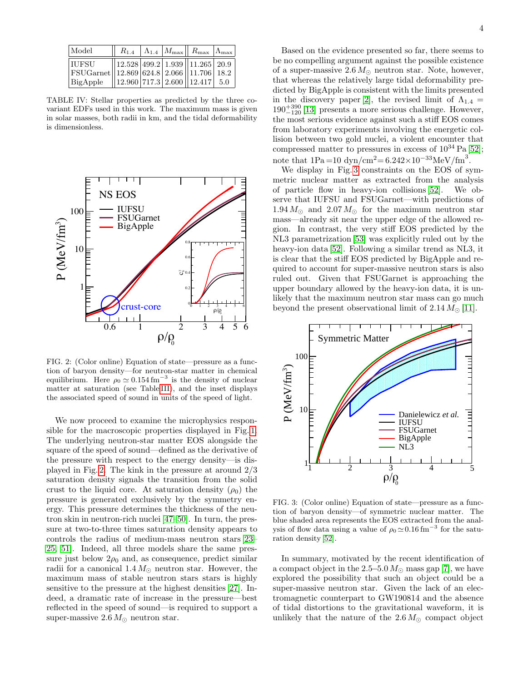| Model                                              |                                        |  | $R_{1.4}$   $\Lambda_{1.4}$   $M_{\text{max}}$   $R_{\text{max}}$   $\Lambda_{\text{max}}$ |  |
|----------------------------------------------------|----------------------------------------|--|--------------------------------------------------------------------------------------------|--|
| IUFSU                                              | $\ 12.528\ 499.2\ 1.939\ 11.265\ 20.9$ |  |                                                                                            |  |
| FSUGarnet    12.869 624.8   2.066    11.706   18.2 |                                        |  |                                                                                            |  |
| BigApple                                           | $\ 12.960\ 717.3\ 2.600\ 12.417\ 5.0$  |  |                                                                                            |  |

<span id="page-3-0"></span>TABLE IV: Stellar properties as predicted by the three covariant EDFs used in this work. The maximum mass is given in solar masses, both radii in km, and the tidal deformability is dimensionless.



<span id="page-3-1"></span>FIG. 2: (Color online) Equation of state—pressure as a function of baryon density—for neutron-star matter in chemical equilibrium. Here  $\rho_0 \simeq 0.154 \,\mathrm{fm}^{-3}$  is the density of nuclear matter at saturation (see Table [III\)](#page-2-1), and the inset displays the associated speed of sound in units of the speed of light.

We now proceed to examine the microphysics responsible for the macroscopic properties displayed in Fig. [1.](#page-2-2) The underlying neutron-star matter EOS alongside the square of the speed of sound—defined as the derivative of the pressure with respect to the energy density—is displayed in Fig. [2.](#page-3-1) The kink in the pressure at around 2/3 saturation density signals the transition from the solid crust to the liquid core. At saturation density  $(\rho_0)$  the pressure is generated exclusively by the symmetry energy. This pressure determines the thickness of the neutron skin in neutron-rich nuclei [\[47–](#page-5-12)[50\]](#page-5-13). In turn, the pressure at two-to-three times saturation density appears to controls the radius of medium-mass neutron stars [\[23–](#page-4-18) [25,](#page-4-19) [51\]](#page-5-14). Indeed, all three models share the same pressure just below  $2\rho_0$  and, as consequence, predict similar radii for a canonical  $1.4 M_{\odot}$  neutron star. However, the maximum mass of stable neutron stars stars is highly sensitive to the pressure at the highest densities [\[27\]](#page-4-11). Indeed, a dramatic rate of increase in the pressure—best reflected in the speed of sound—is required to support a super-massive 2.6  $M_{\odot}$  neutron star.

Based on the evidence presented so far, there seems to be no compelling argument against the possible existence of a super-massive  $2.6 M_{\odot}$  neutron star. Note, however, that whereas the relatively large tidal deformability predicted by BigApple is consistent with the limits presented in the discovery paper [\[2\]](#page-4-1), the revised limit of  $\Lambda_{1,4} =$  $190^{+390}_{-120}$  [\[13\]](#page-4-10) presents a more serious challenge. However, the most serious evidence against such a stiff EOS comes from laboratory experiments involving the energetic collision between two gold nuclei, a violent encounter that compressed matter to pressures in excess of  $10^{34}$  Pa [\[52\]](#page-5-15); note that  $1Pa = 10 \text{ dyn/cm}^2 = 6.242 \times 10^{-33} \text{MeV/fm}^3$ .

We display in Fig. [3](#page-3-2) constraints on the EOS of symmetric nuclear matter as extracted from the analysis of particle flow in heavy-ion collisions [\[52\]](#page-5-15). We observe that IUFSU and FSUGarnet—with predictions of  $1.94 M_{\odot}$  and  $2.07 M_{\odot}$  for the maximum neutron star mass—already sit near the upper edge of the allowed region. In contrast, the very stiff EOS predicted by the NL3 parametrization [\[53\]](#page-5-16) was explicitly ruled out by the heavy-ion data [\[52\]](#page-5-15). Following a similar trend as NL3, it is clear that the stiff EOS predicted by BigApple and required to account for super-massive neutron stars is also ruled out. Given that FSUGarnet is approaching the upper boundary allowed by the heavy-ion data, it is unlikely that the maximum neutron star mass can go much beyond the present observational limit of  $2.14 M_{\odot}$  [\[11\]](#page-4-8).



<span id="page-3-2"></span>FIG. 3: (Color online) Equation of state—pressure as a function of baryon density—of symmetric nuclear matter. The blue shaded area represents the EOS extracted from the analysis of flow data using a value of  $\rho_0 \simeq 0.16$  fm<sup>-3</sup> for the saturation density [\[52\]](#page-5-15).

In summary, motivated by the recent identification of a compact object in the 2.5–5.0  $M_{\odot}$  mass gap [\[7\]](#page-4-4), we have explored the possibility that such an object could be a super-massive neutron star. Given the lack of an electromagnetic counterpart to GW190814 and the absence of tidal distortions to the gravitational waveform, it is unlikely that the nature of the  $2.6 M_{\odot}$  compact object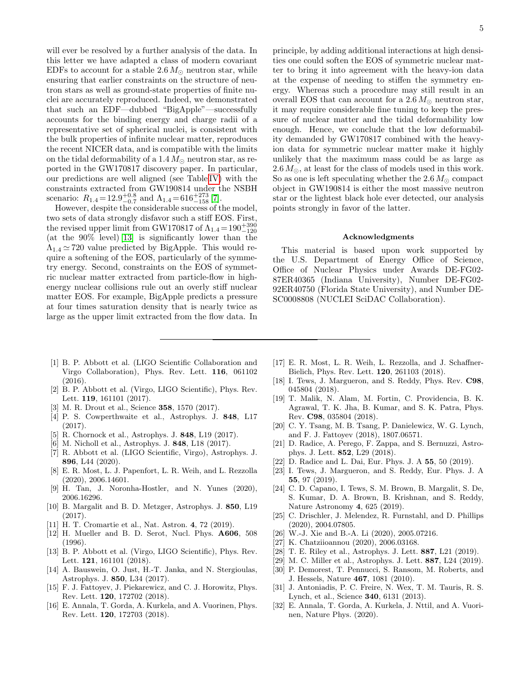will ever be resolved by a further analysis of the data. In this letter we have adapted a class of modern covariant EDFs to account for a stable 2.6  $M_{\odot}$  neutron star, while ensuring that earlier constraints on the structure of neutron stars as well as ground-state properties of finite nuclei are accurately reproduced. Indeed, we demonstrated that such an EDF—dubbed "BigApple"—successfully accounts for the binding energy and charge radii of a representative set of spherical nuclei, is consistent with the bulk properties of infinite nuclear matter, reproduces the recent NICER data, and is compatible with the limits on the tidal deformability of a 1.4  $M_{\odot}$  neutron star, as reported in the GW170817 discovery paper. In particular, our predictions are well aligned (see Table [IV\)](#page-3-0) with the constraints extracted from GW190814 under the NSBH scenario:  $R_{1.4} = 12.9_{-0.7}^{+0.8}$  and  $\Lambda_{1.4} = 616_{-158}^{+273}$  [\[7\]](#page-4-4).

However, despite the considerable success of the model, two sets of data strongly disfavor such a stiff EOS. First, the revised upper limit from GW170817 of  $\Lambda_{1.4} = 190^{+390}_{-120}$ (at the 90% level) [\[13\]](#page-4-10) is significantly lower than the  $\Lambda_{1,4} \simeq 720$  value predicted by BigApple. This would require a softening of the EOS, particularly of the symmetry energy. Second, constraints on the EOS of symmetric nuclear matter extracted from particle-flow in highenergy nuclear collisions rule out an overly stiff nuclear matter EOS. For example, BigApple predicts a pressure at four times saturation density that is nearly twice as large as the upper limit extracted from the flow data. In 5

ties one could soften the EOS of symmetric nuclear matter to bring it into agreement with the heavy-ion data at the expense of needing to stiffen the symmetry energy. Whereas such a procedure may still result in an overall EOS that can account for a  $2.6 M_{\odot}$  neutron star, it may require considerable fine tuning to keep the pressure of nuclear matter and the tidal deformability low enough. Hence, we conclude that the low deformability demanded by GW170817 combined with the heavyion data for symmetric nuclear matter make it highly unlikely that the maximum mass could be as large as  $2.6 M_{\odot}$ , at least for the class of models used in this work. So as one is left speculating whether the 2.6  $M_{\odot}$  compact object in GW190814 is either the most massive neutron star or the lightest black hole ever detected, our analysis points strongly in favor of the latter.

## Acknowledgments

This material is based upon work supported by the U.S. Department of Energy Office of Science, Office of Nuclear Physics under Awards DE-FG02- 87ER40365 (Indiana University), Number DE-FG02- 92ER40750 (Florida State University), and Number DE-SC0008808 (NUCLEI SciDAC Collaboration).

- <span id="page-4-0"></span>[1] B. P. Abbott et al. (LIGO Scientific Collaboration and Virgo Collaboration), Phys. Rev. Lett. 116, 061102 (2016).
- <span id="page-4-1"></span>[2] B. P. Abbott et al. (Virgo, LIGO Scientific), Phys. Rev. Lett. 119, 161101 (2017).
- <span id="page-4-2"></span>[3] M. R. Drout et al., Science 358, 1570 (2017).
- [4] P. S. Cowperthwaite et al., Astrophys. J. 848, L17 (2017).
- [5] R. Chornock et al., Astrophys. J. 848, L19 (2017).
- <span id="page-4-3"></span>[6] M. Nicholl et al., Astrophys. J. 848, L18 (2017).
- <span id="page-4-4"></span>[7] R. Abbott et al. (LIGO Scientific, Virgo), Astrophys. J. 896, L44 (2020).
- <span id="page-4-5"></span>[8] E. R. Most, L. J. Papenfort, L. R. Weih, and L. Rezzolla (2020), 2006.14601.
- <span id="page-4-6"></span>[9] H. Tan, J. Noronha-Hostler, and N. Yunes (2020), 2006.16296.
- <span id="page-4-7"></span>[10] B. Margalit and B. D. Metzger, Astrophys. J. 850, L19 (2017).
- <span id="page-4-8"></span>[11] H. T. Cromartie et al., Nat. Astron. 4, 72 (2019).
- <span id="page-4-9"></span>[12] H. Mueller and B. D. Serot, Nucl. Phys. A606, 508 (1996).
- <span id="page-4-10"></span>[13] B. P. Abbott et al. (Virgo, LIGO Scientific), Phys. Rev. Lett. 121, 161101 (2018).
- [14] A. Bauswein, O. Just, H.-T. Janka, and N. Stergioulas. Astrophys. J. 850, L34 (2017).
- <span id="page-4-17"></span>[15] F. J. Fattoyev, J. Piekarewicz, and C. J. Horowitz, Phys. Rev. Lett. 120, 172702 (2018).
- [16] E. Annala, T. Gorda, A. Kurkela, and A. Vuorinen, Phys. Rev. Lett. 120, 172703 (2018).
- [17] E. R. Most, L. R. Weih, L. Rezzolla, and J. Schaffner-Bielich, Phys. Rev. Lett. 120, 261103 (2018).
- [18] I. Tews, J. Margueron, and S. Reddy, Phys. Rev. C98, 045804 (2018).
- [19] T. Malik, N. Alam, M. Fortin, C. Providencia, B. K. Agrawal, T. K. Jha, B. Kumar, and S. K. Patra, Phys. Rev. C98, 035804 (2018).
- [20] C. Y. Tsang, M. B. Tsang, P. Danielewicz, W. G. Lynch, and F. J. Fattoyev (2018), 1807.06571.
- [21] D. Radice, A. Perego, F. Zappa, and S. Bernuzzi, Astrophys. J. Lett. 852, L29 (2018).
- [22] D. Radice and L. Dai, Eur. Phys. J. A 55, 50 (2019).
- <span id="page-4-18"></span>[23] I. Tews, J. Margueron, and S. Reddy, Eur. Phys. J. A 55, 97 (2019).
- [24] C. D. Capano, I. Tews, S. M. Brown, B. Margalit, S. De, S. Kumar, D. A. Brown, B. Krishnan, and S. Reddy, Nature Astronomy 4, 625 (2019).
- <span id="page-4-19"></span>[25] C. Drischler, J. Melendez, R. Furnstahl, and D. Phillips (2020), 2004.07805.
- [26] W.-J. Xie and B.-A. Li (2020), 2005.07216.
- <span id="page-4-11"></span>[27] K. Chatziioannou (2020), 2006.03168.
- <span id="page-4-12"></span>[28] T. E. Riley et al., Astrophys. J. Lett. 887, L21 (2019).
- <span id="page-4-13"></span>[29] M. C. Miller et al., Astrophys. J. Lett. 887, L24 (2019).
- <span id="page-4-14"></span>[30] P. Demorest, T. Pennucci, S. Ransom, M. Roberts, and J. Hessels, Nature 467, 1081 (2010).
- <span id="page-4-15"></span>[31] J. Antoniadis, P. C. Freire, N. Wex, T. M. Tauris, R. S. Lynch, et al., Science 340, 6131 (2013).
- <span id="page-4-16"></span>[32] E. Annala, T. Gorda, A. Kurkela, J. Nttil, and A. Vuorinen, Nature Phys. (2020).